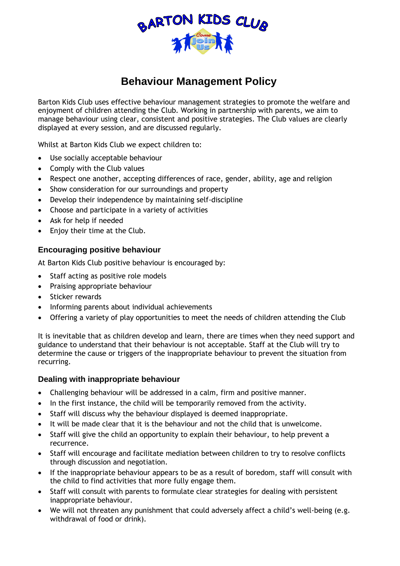

# **Behaviour Management Policy**

Barton Kids Club uses effective behaviour management strategies to promote the welfare and enjoyment of children attending the Club. Working in partnership with parents, we aim to manage behaviour using clear, consistent and positive strategies. The Club values are clearly displayed at every session, and are discussed regularly.

Whilst at Barton Kids Club we expect children to:

- Use socially acceptable behaviour
- Comply with the Club values
- Respect one another, accepting differences of race, gender, ability, age and religion
- Show consideration for our surroundings and property
- Develop their independence by maintaining self-discipline
- Choose and participate in a variety of activities
- Ask for help if needed
- Enjoy their time at the Club.

## **Encouraging positive behaviour**

At Barton Kids Club positive behaviour is encouraged by:

- Staff acting as positive role models
- Praising appropriate behaviour
- Sticker rewards
- Informing parents about individual achievements
- Offering a variety of play opportunities to meet the needs of children attending the Club

It is inevitable that as children develop and learn, there are times when they need support and guidance to understand that their behaviour is not acceptable. Staff at the Club will try to determine the cause or triggers of the inappropriate behaviour to prevent the situation from recurring.

### **Dealing with inappropriate behaviour**

- Challenging behaviour will be addressed in a calm, firm and positive manner.
- In the first instance, the child will be temporarily removed from the activity.
- Staff will discuss why the behaviour displayed is deemed inappropriate.
- It will be made clear that it is the behaviour and not the child that is unwelcome.
- Staff will give the child an opportunity to explain their behaviour, to help prevent a recurrence.
- Staff will encourage and facilitate mediation between children to try to resolve conflicts through discussion and negotiation.
- If the inappropriate behaviour appears to be as a result of boredom, staff will consult with the child to find activities that more fully engage them.
- Staff will consult with parents to formulate clear strategies for dealing with persistent inappropriate behaviour.
- We will not threaten any punishment that could adversely affect a child's well-being (e.g. withdrawal of food or drink).